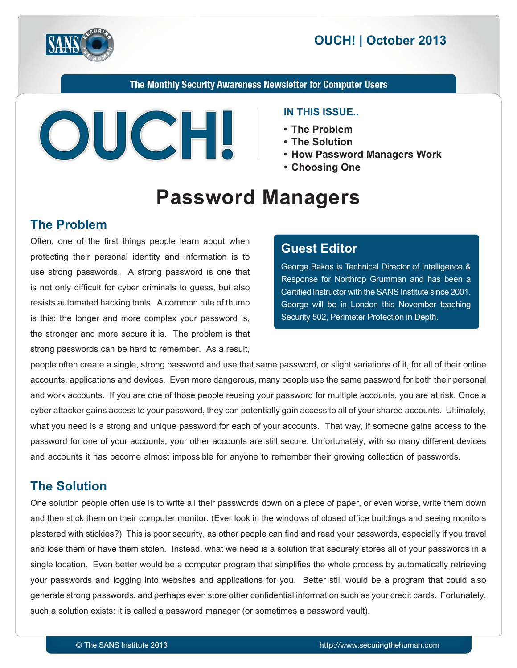

# **2013 | October 2013**

The Monthly Security Awareness Newsletter for Computer Users



#### **IN THIS ISSUE..**

- The Problem
- The Solution
- **How Password Managers Work** 
	- Choosing One

# **Password Managers**

## **The Problem**

Often, one of the first things people learn about when protecting their personal identity and information is to use strong passwords. A strong password is one that is not only difficult for cyber criminals to guess, but also resists automated hacking tools. A common rule of thumb is this: the longer and more complex your password is, the stronger and more secure it is. The problem is that strong passwords can be hard to remember. As a result,

## **Editor Guest**

George Bakos is Technical Director of Intelligence & Response for Northrop Grumman and has been a Certified Instructor with the SANS Institute since 2001. George will be in London this November teaching Security 502, Perimeter Protection in Depth.

people often create a single, strong password and use that same password, or slight variations of it, for all of their online accounts, applications and devices. Even more dangerous, many people use the same password for both their personal and work accounts. If you are one of those people reusing your password for multiple accounts, you are at risk. Once a cyber attacker gains access to your password, they can potentially gain access to all of your shared accounts. Ultimately, what you need is a strong and unique password for each of your accounts. That way, if someone gains access to the password for one of your accounts, your other accounts are still secure. Unfortunately, with so many different devices and accounts it has become almost impossible for anyone to remember their growing collection of passwords.

# **The Solution**

One solution people often use is to write all their passwords down on a piece of paper, or even worse, write them down and then stick them on their computer monitor. (Ever look in the windows of closed office buildings and seeing monitors plastered with stickies?) This is poor security, as other people can find and read your passwords, especially if you travel and lose them or have them stolen. Instead, what we need is a solution that securely stores all of your passwords in a single location. Even better would be a computer program that simplifies the whole process by automatically retrieving your passwords and logging into websites and applications for you. Better still would be a program that could also generate strong passwords, and perhaps even store other confidential information such as your credit cards. Fortunately, such a solution exists: it is called a password manager (or sometimes a password vault).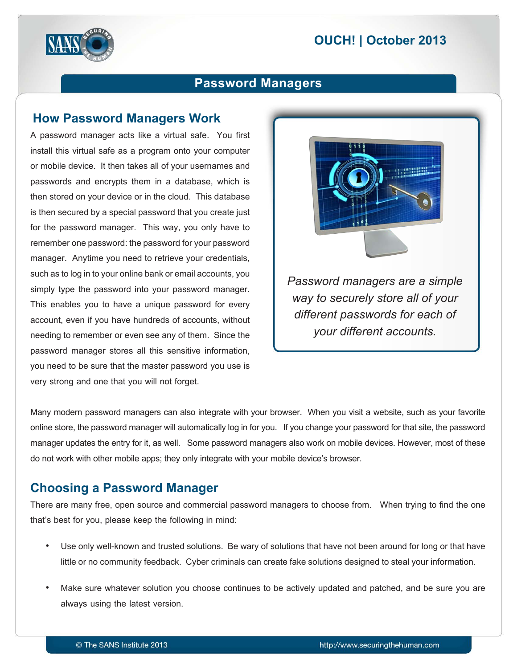

# **Password Managers**

#### **How Password Managers Work**

A password manager acts like a virtual safe. You first install this virtual safe as a program onto your computer or mobile device. It then takes all of your usernames and passwords and encrypts them in a database, which is then stored on your device or in the cloud. This database is then secured by a special password that you create just for the password manager. This way, you only have to remember one password: the password for your password manager. Anytime you need to retrieve your credentials, such as to log in to your online bank or email accounts, you simply type the password into your password manager. This enables you to have a unique password for every account, even if you have hundreds of accounts, without needing to remember or even see any of them. Since the password manager stores all this sensitive information, you need to be sure that the master password you use is very strong and one that you will not forget.



**Password managers are a simple** *way to securely store all of your different passwords for each of your different accounts.* 

Many modern password managers can also integrate with your browser. When you visit a website, such as your favorite online store, the password manager will automatically log in for you. If you change your password for that site, the password manager updates the entry for it, as well. Some password managers also work on mobile devices. However, most of these do not work with other mobile apps; they only integrate with your mobile device's browser.

## **Choosing a Password Manager**

There are many free, open source and commercial password managers to choose from. When trying to find the one that's best for you, please keep the following in mind:

- Use only well-known and trusted solutions. Be wary of solutions that have not been around for long or that have little or no community feedback. Cyber criminals can create fake solutions designed to steal your information.
- Make sure whatever solution you choose continues to be actively updated and patched, and be sure you are always using the latest version.